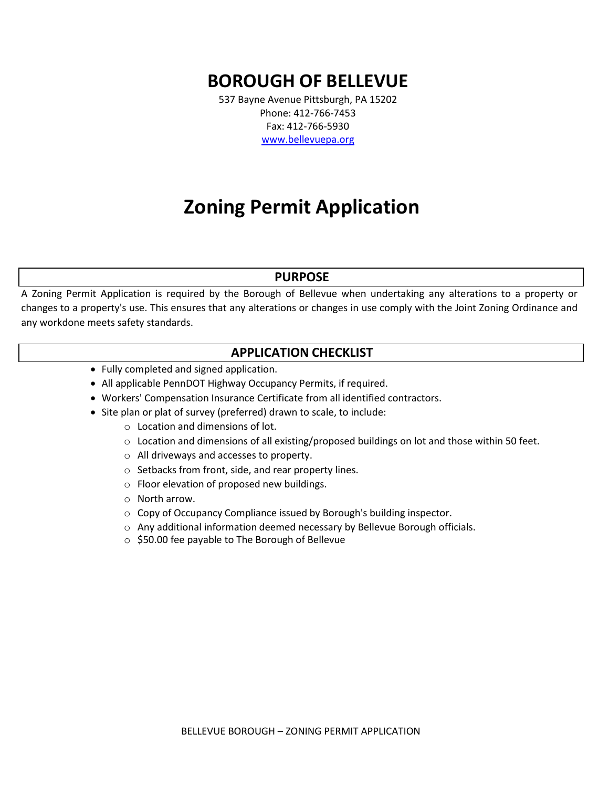### **BOROUGH OF BELLEVUE**

537 Bayne Avenue Pittsburgh, PA 15202 Phone: 412-766-7453 Fax: 412-766-5930 [www.bellevuepa.org](http://www.bellevuepa.org/)

## **Zoning Permit Application**

#### **PURPOSE**

A Zoning Permit Application is required by the Borough of Bellevue when undertaking any alterations to a property or changes to a property's use. This ensures that any alterations or changes in use comply with the Joint Zoning Ordinance and any workdone meets safety standards.

#### **APPLICATION CHECKLIST**

- Fully completed and signed application.
- All applicable PennDOT Highway Occupancy Permits, if required.
- Workers' Compensation Insurance Certificate from all identified contractors.
- Site plan or plat of survey (preferred) drawn to scale, to include:
	- o Location and dimensions of lot.
	- $\circ$  Location and dimensions of all existing/proposed buildings on lot and those within 50 feet.
	- o All driveways and accesses to property.
	- o Setbacks from front, side, and rear property lines.
	- o Floor elevation of proposed new buildings.
	- o North arrow.
	- o Copy of Occupancy Compliance issued by Borough's building inspector.
	- o Any additional information deemed necessary by Bellevue Borough officials.
	- o \$50.00 fee payable to The Borough of Bellevue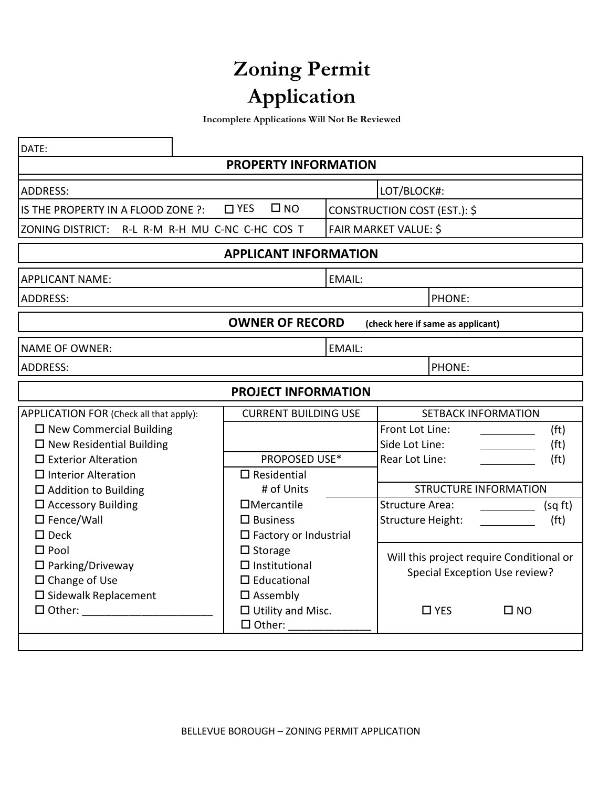# **Zoning Permit Application**

**Incomplete Applications Will Not Be Reviewed**

| DATE:                                                            |                              |        |                                          |                                     |  |  |  |  |
|------------------------------------------------------------------|------------------------------|--------|------------------------------------------|-------------------------------------|--|--|--|--|
| <b>PROPERTY INFORMATION</b>                                      |                              |        |                                          |                                     |  |  |  |  |
| <b>ADDRESS:</b>                                                  |                              |        | LOT/BLOCK#:                              |                                     |  |  |  |  |
| $\square$ NO<br>$\Box$ YES<br>IS THE PROPERTY IN A FLOOD ZONE ?: |                              |        | CONSTRUCTION COST (EST.): \$             |                                     |  |  |  |  |
| ZONING DISTRICT: R-L R-M R-H MU C-NC C-HC COS T                  | <b>FAIR MARKET VALUE: \$</b> |        |                                          |                                     |  |  |  |  |
|                                                                  | <b>APPLICANT INFORMATION</b> |        |                                          |                                     |  |  |  |  |
| <b>APPLICANT NAME:</b>                                           |                              | EMAIL: |                                          |                                     |  |  |  |  |
| PHONE:<br><b>ADDRESS:</b>                                        |                              |        |                                          |                                     |  |  |  |  |
| <b>OWNER OF RECORD</b><br>(check here if same as applicant)      |                              |        |                                          |                                     |  |  |  |  |
| <b>NAME OF OWNER:</b>                                            |                              | EMAIL: |                                          |                                     |  |  |  |  |
| PHONE:<br><b>ADDRESS:</b>                                        |                              |        |                                          |                                     |  |  |  |  |
| <b>PROJECT INFORMATION</b>                                       |                              |        |                                          |                                     |  |  |  |  |
| APPLICATION FOR (Check all that apply):                          | <b>CURRENT BUILDING USE</b>  |        |                                          | <b>SETBACK INFORMATION</b>          |  |  |  |  |
| $\Box$ New Commercial Building                                   |                              |        | Front Lot Line:                          | (f <sub>t</sub> )                   |  |  |  |  |
| $\Box$ New Residential Building                                  |                              |        | Side Lot Line:                           | (f <sup>t</sup> )                   |  |  |  |  |
| $\Box$ Exterior Alteration                                       | PROPOSED USE*                |        | Rear Lot Line:                           | (f <sup>t</sup> )                   |  |  |  |  |
| $\Box$ Interior Alteration                                       | $\square$ Residential        |        |                                          |                                     |  |  |  |  |
| $\Box$ Addition to Building                                      | # of Units                   |        |                                          | <b>STRUCTURE INFORMATION</b>        |  |  |  |  |
| $\square$ Accessory Building                                     | $\Box$ Mercantile            |        | <b>Structure Area:</b>                   | (sq ft)<br>$\overline{\phantom{a}}$ |  |  |  |  |
| $\square$ Fence/Wall                                             | $\Box$ Business              |        | Structure Height:                        | (f <sub>t</sub> )                   |  |  |  |  |
| $\square$ Deck                                                   | $\Box$ Factory or Industrial |        |                                          |                                     |  |  |  |  |
| $\square$ Pool                                                   | $\Box$ Storage               |        |                                          |                                     |  |  |  |  |
| $\square$ Parking/Driveway                                       | $\Box$ Institutional         |        | Will this project require Conditional or |                                     |  |  |  |  |
| $\square$ Change of Use                                          | $\Box$ Educational           |        |                                          | Special Exception Use review?       |  |  |  |  |
| $\square$ Sidewalk Replacement                                   | $\square$ Assembly           |        |                                          |                                     |  |  |  |  |
|                                                                  | $\Box$ Utility and Misc.     |        | $\square$ YES                            | $\square$ NO                        |  |  |  |  |
|                                                                  | $\Box$ Other:                |        |                                          |                                     |  |  |  |  |
|                                                                  |                              |        |                                          |                                     |  |  |  |  |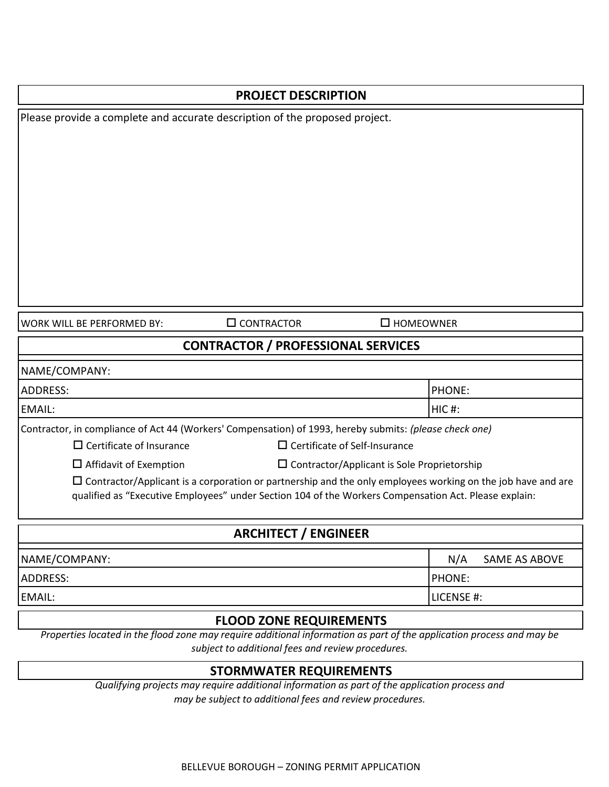| <b>PROJECT DESCRIPTION</b>                                                                                                                                                                                                                                                                                                                                                                                 |                                                                                               |                     |            |               |  |  |
|------------------------------------------------------------------------------------------------------------------------------------------------------------------------------------------------------------------------------------------------------------------------------------------------------------------------------------------------------------------------------------------------------------|-----------------------------------------------------------------------------------------------|---------------------|------------|---------------|--|--|
| Please provide a complete and accurate description of the proposed project.                                                                                                                                                                                                                                                                                                                                |                                                                                               |                     |            |               |  |  |
| WORK WILL BE PERFORMED BY:                                                                                                                                                                                                                                                                                                                                                                                 | $\square$ CONTRACTOR                                                                          | $\square$ HOMEOWNER |            |               |  |  |
| <b>CONTRACTOR / PROFESSIONAL SERVICES</b>                                                                                                                                                                                                                                                                                                                                                                  |                                                                                               |                     |            |               |  |  |
| NAME/COMPANY:                                                                                                                                                                                                                                                                                                                                                                                              |                                                                                               |                     |            |               |  |  |
| <b>ADDRESS:</b>                                                                                                                                                                                                                                                                                                                                                                                            |                                                                                               |                     | PHONE:     |               |  |  |
| <b>EMAIL:</b>                                                                                                                                                                                                                                                                                                                                                                                              |                                                                                               |                     | $HIC$ #:   |               |  |  |
| Contractor, in compliance of Act 44 (Workers' Compensation) of 1993, hereby submits: (please check one)<br>$\Box$ Certificate of Insurance<br>$\Box$ Affidavit of Exemption<br>$\Box$ Contractor/Applicant is a corporation or partnership and the only employees working on the job have and are<br>qualified as "Executive Employees" under Section 104 of the Workers Compensation Act. Please explain: | $\square$ Certificate of Self-Insurance<br>$\Box$ Contractor/Applicant is Sole Proprietorship |                     |            |               |  |  |
| <b>ARCHITECT / ENGINEER</b>                                                                                                                                                                                                                                                                                                                                                                                |                                                                                               |                     |            |               |  |  |
| NAME/COMPANY:                                                                                                                                                                                                                                                                                                                                                                                              |                                                                                               |                     | N/A        | SAME AS ABOVE |  |  |
| ADDRESS:                                                                                                                                                                                                                                                                                                                                                                                                   |                                                                                               |                     | PHONE:     |               |  |  |
| EMAIL:                                                                                                                                                                                                                                                                                                                                                                                                     |                                                                                               |                     | LICENSE #: |               |  |  |
| <b>FLOOD ZONE REQUIREMENTS</b>                                                                                                                                                                                                                                                                                                                                                                             |                                                                                               |                     |            |               |  |  |
| Properties located in the flood zone may require additional information as part of the application process and may be<br>subject to additional fees and review procedures.                                                                                                                                                                                                                                 |                                                                                               |                     |            |               |  |  |

#### **STORMWATER REQUIREMENTS**

*Qualifying projects may require additional information as part of the application process and may be subject to additional fees and review procedures.*